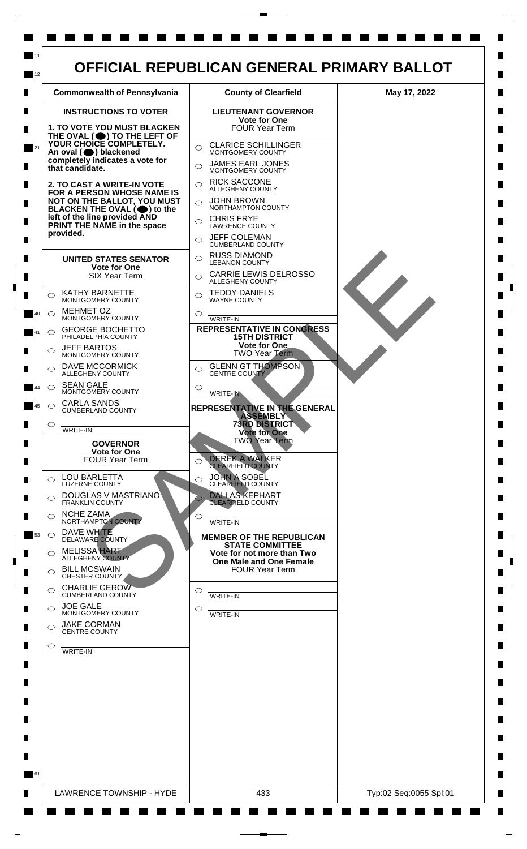

 $\Box$ 

 $\mathsf{L}$